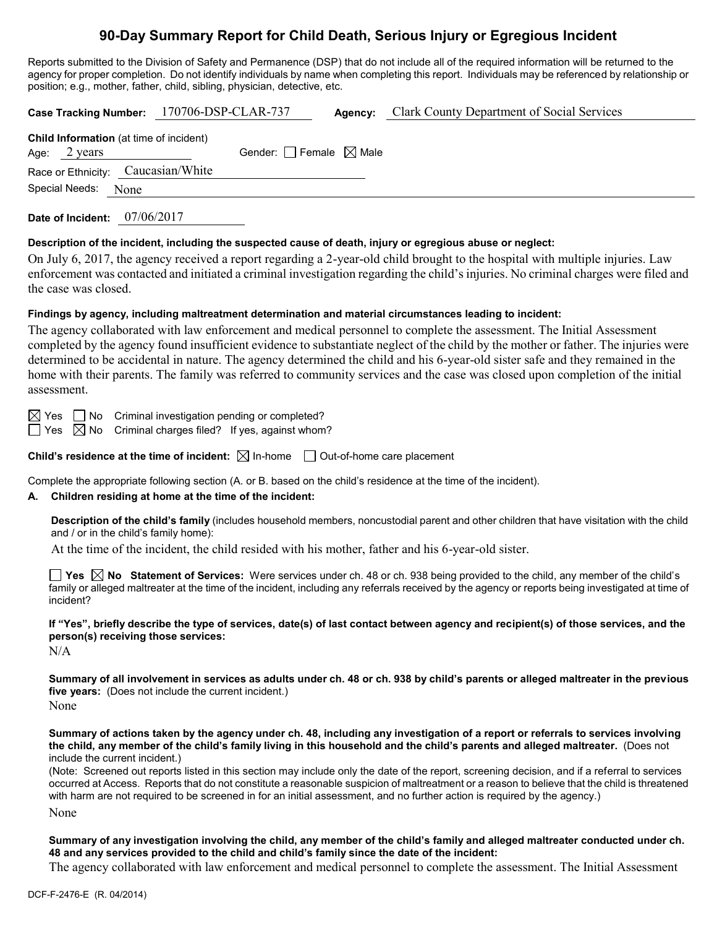# **90-Day Summary Report for Child Death, Serious Injury or Egregious Incident**

Reports submitted to the Division of Safety and Permanence (DSP) that do not include all of the required information will be returned to the agency for proper completion. Do not identify individuals by name when completing this report. Individuals may be referenced by relationship or position; e.g., mother, father, child, sibling, physician, detective, etc.

| Case Tracking Number: 170706-DSP-CLAR-737                                |      |                                        | Agency: | <b>Clark County Department of Social Services</b> |
|--------------------------------------------------------------------------|------|----------------------------------------|---------|---------------------------------------------------|
| <b>Child Information</b> (at time of incident)<br>Age: $2 \text{ years}$ |      | Gender: $\Box$ Female $\boxtimes$ Male |         |                                                   |
| Race or Ethnicity: Caucasian/White                                       |      |                                        |         |                                                   |
| Special Needs:                                                           | None |                                        |         |                                                   |

**Date of Incident:** 07/06/2017

## **Description of the incident, including the suspected cause of death, injury or egregious abuse or neglect:**

On July 6, 2017, the agency received a report regarding a 2-year-old child brought to the hospital with multiple injuries. Law enforcement was contacted and initiated a criminal investigation regarding the child's injuries. No criminal charges were filed and the case was closed.

## **Findings by agency, including maltreatment determination and material circumstances leading to incident:**

The agency collaborated with law enforcement and medical personnel to complete the assessment. The Initial Assessment completed by the agency found insufficient evidence to substantiate neglect of the child by the mother or father. The injuries were determined to be accidental in nature. The agency determined the child and his 6-year-old sister safe and they remained in the home with their parents. The family was referred to community services and the case was closed upon completion of the initial assessment.

 $\boxtimes$  Yes  $\Box$  No Criminal investigation pending or completed?

 $\Box$  Yes  $\boxtimes$  No Criminal charges filed? If yes, against whom?

**Child's residence at the time of incident:**  $\boxtimes$  In-home  $\Box$  Out-of-home care placement

Complete the appropriate following section (A. or B. based on the child's residence at the time of the incident).

## **A. Children residing at home at the time of the incident:**

**Description of the child's family** (includes household members, noncustodial parent and other children that have visitation with the child and / or in the child's family home):

At the time of the incident, the child resided with his mother, father and his 6-year-old sister.

**Yes No Statement of Services:** Were services under ch. 48 or ch. 938 being provided to the child, any member of the child's family or alleged maltreater at the time of the incident, including any referrals received by the agency or reports being investigated at time of incident?

**If "Yes", briefly describe the type of services, date(s) of last contact between agency and recipient(s) of those services, and the person(s) receiving those services:**

N/A

**Summary of all involvement in services as adults under ch. 48 or ch. 938 by child's parents or alleged maltreater in the previous five years:** (Does not include the current incident.)

None

**Summary of actions taken by the agency under ch. 48, including any investigation of a report or referrals to services involving the child, any member of the child's family living in this household and the child's parents and alleged maltreater.** (Does not include the current incident.)

(Note: Screened out reports listed in this section may include only the date of the report, screening decision, and if a referral to services occurred at Access. Reports that do not constitute a reasonable suspicion of maltreatment or a reason to believe that the child is threatened with harm are not required to be screened in for an initial assessment, and no further action is required by the agency.)

None

**Summary of any investigation involving the child, any member of the child's family and alleged maltreater conducted under ch. 48 and any services provided to the child and child's family since the date of the incident:**

The agency collaborated with law enforcement and medical personnel to complete the assessment. The Initial Assessment